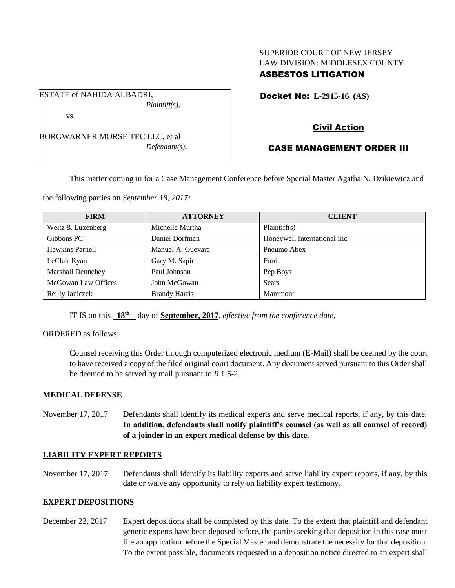### SUPERIOR COURT OF NEW JERSEY LAW DIVISION: MIDDLESEX COUNTY ASBESTOS LITIGATION

Docket No: **L-2915-16 (AS)** 

BORGWARNER MORSE TEC LLC, et al *Defendant(s).*

*Plaintiff(s),*

ESTATE of NAHIDA ALBADRI,

vs.

## Civil Action

# CASE MANAGEMENT ORDER III

This matter coming in for a Case Management Conference before Special Master Agatha N. Dzikiewicz and

the following parties on *September 18, 2017:*

| <b>FIRM</b>         | <b>ATTORNEY</b>      | <b>CLIENT</b>                |
|---------------------|----------------------|------------------------------|
| Weitz & Luxenberg   | Michelle Murtha      | Plaintiff(s)                 |
| Gibbons PC          | Daniel Dorfman       | Honeywell International Inc. |
| Hawkins Parnell     | Manuel A. Guevara    | Pneumo Abex                  |
| LeClair Ryan        | Gary M. Sapir        | Ford                         |
| Marshall Dennehey   | Paul Johnson         | Pep Boys                     |
| McGowan Law Offices | John McGowan         | <b>Sears</b>                 |
| Reilly Janiczek     | <b>Brandy Harris</b> | Maremont                     |

IT IS on this **18th** day of **September, 2017**, *effective from the conference date;*

ORDERED as follows:

Counsel receiving this Order through computerized electronic medium (E-Mail) shall be deemed by the court to have received a copy of the filed original court document. Any document served pursuant to this Order shall be deemed to be served by mail pursuant to *R*.1:5-2.

#### **MEDICAL DEFENSE**

November 17, 2017 Defendants shall identify its medical experts and serve medical reports, if any, by this date. **In addition, defendants shall notify plaintiff's counsel (as well as all counsel of record) of a joinder in an expert medical defense by this date.**

#### **LIABILITY EXPERT REPORTS**

November 17, 2017 Defendants shall identify its liability experts and serve liability expert reports, if any, by this date or waive any opportunity to rely on liability expert testimony.

#### **EXPERT DEPOSITIONS**

December 22, 2017 Expert depositions shall be completed by this date. To the extent that plaintiff and defendant generic experts have been deposed before, the parties seeking that deposition in this case must file an application before the Special Master and demonstrate the necessity for that deposition. To the extent possible, documents requested in a deposition notice directed to an expert shall